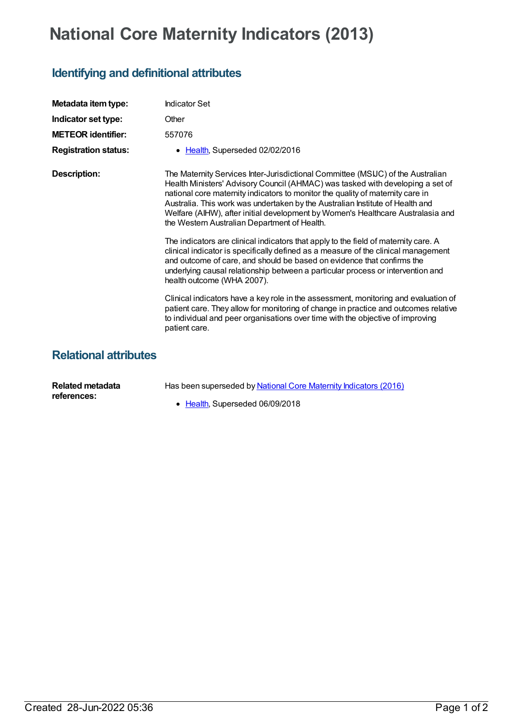## **National Core Maternity Indicators (2013)**

## **Identifying and definitional attributes**

| Metadata item type:          | <b>Indicator Set</b>                                                                                                                                                                                                                                                                                                                                                                                                                                                    |
|------------------------------|-------------------------------------------------------------------------------------------------------------------------------------------------------------------------------------------------------------------------------------------------------------------------------------------------------------------------------------------------------------------------------------------------------------------------------------------------------------------------|
| Indicator set type:          | Other                                                                                                                                                                                                                                                                                                                                                                                                                                                                   |
| <b>METEOR identifier:</b>    | 557076                                                                                                                                                                                                                                                                                                                                                                                                                                                                  |
| <b>Registration status:</b>  | • Health, Superseded 02/02/2016                                                                                                                                                                                                                                                                                                                                                                                                                                         |
| <b>Description:</b>          | The Maternity Services Inter-Jurisdictional Committee (MSIJC) of the Australian<br>Health Ministers' Advisory Council (AHMAC) was tasked with developing a set of<br>national core maternity indicators to monitor the quality of maternity care in<br>Australia. This work was undertaken by the Australian Institute of Health and<br>Welfare (AIHW), after initial development by Women's Healthcare Australasia and<br>the Western Australian Department of Health. |
|                              | The indicators are clinical indicators that apply to the field of maternity care. A<br>clinical indicator is specifically defined as a measure of the clinical management<br>and outcome of care, and should be based on evidence that confirms the<br>underlying causal relationship between a particular process or intervention and<br>health outcome (WHA 2007).                                                                                                    |
|                              | Clinical indicators have a key role in the assessment, monitoring and evaluation of<br>patient care. They allow for monitoring of change in practice and outcomes relative<br>to individual and peer organisations over time with the objective of improving<br>patient care.                                                                                                                                                                                           |
| <b>Relational attributes</b> |                                                                                                                                                                                                                                                                                                                                                                                                                                                                         |

| Related metadata | Has been superseded by National Core Maternity Indicators (2016) |
|------------------|------------------------------------------------------------------|
| references:      |                                                                  |
|                  | • Health, Superseded 06/09/2018                                  |

Created 28-Jun-2022 05:36 Page 1 of 2